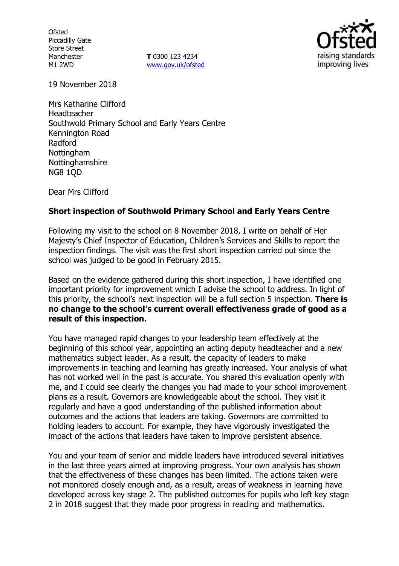**Ofsted** Piccadilly Gate Store Street Manchester M1 2WD

**T** 0300 123 4234 www.gov.uk/ofsted



19 November 2018

Mrs Katharine Clifford Headteacher Southwold Primary School and Early Years Centre Kennington Road Radford **Nottingham** Nottinghamshire NG8 1QD

Dear Mrs Clifford

#### **Short inspection of Southwold Primary School and Early Years Centre**

Following my visit to the school on 8 November 2018, I write on behalf of Her Majesty's Chief Inspector of Education, Children's Services and Skills to report the inspection findings. The visit was the first short inspection carried out since the school was judged to be good in February 2015.

Based on the evidence gathered during this short inspection, I have identified one important priority for improvement which I advise the school to address. In light of this priority, the school's next inspection will be a full section 5 inspection. **There is no change to the school's current overall effectiveness grade of good as a result of this inspection.**

You have managed rapid changes to your leadership team effectively at the beginning of this school year, appointing an acting deputy headteacher and a new mathematics subject leader. As a result, the capacity of leaders to make improvements in teaching and learning has greatly increased. Your analysis of what has not worked well in the past is accurate. You shared this evaluation openly with me, and I could see clearly the changes you had made to your school improvement plans as a result. Governors are knowledgeable about the school. They visit it regularly and have a good understanding of the published information about outcomes and the actions that leaders are taking. Governors are committed to holding leaders to account. For example, they have vigorously investigated the impact of the actions that leaders have taken to improve persistent absence.

You and your team of senior and middle leaders have introduced several initiatives in the last three years aimed at improving progress. Your own analysis has shown that the effectiveness of these changes has been limited. The actions taken were not monitored closely enough and, as a result, areas of weakness in learning have developed across key stage 2. The published outcomes for pupils who left key stage 2 in 2018 suggest that they made poor progress in reading and mathematics.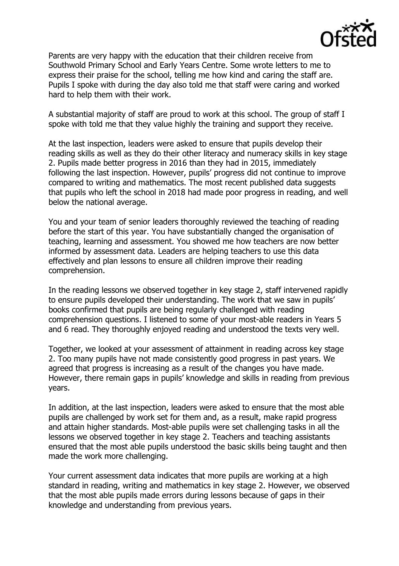

Parents are very happy with the education that their children receive from Southwold Primary School and Early Years Centre. Some wrote letters to me to express their praise for the school, telling me how kind and caring the staff are. Pupils I spoke with during the day also told me that staff were caring and worked hard to help them with their work.

A substantial majority of staff are proud to work at this school. The group of staff I spoke with told me that they value highly the training and support they receive.

At the last inspection, leaders were asked to ensure that pupils develop their reading skills as well as they do their other literacy and numeracy skills in key stage 2. Pupils made better progress in 2016 than they had in 2015, immediately following the last inspection. However, pupils' progress did not continue to improve compared to writing and mathematics. The most recent published data suggests that pupils who left the school in 2018 had made poor progress in reading, and well below the national average.

You and your team of senior leaders thoroughly reviewed the teaching of reading before the start of this year. You have substantially changed the organisation of teaching, learning and assessment. You showed me how teachers are now better informed by assessment data. Leaders are helping teachers to use this data effectively and plan lessons to ensure all children improve their reading comprehension.

In the reading lessons we observed together in key stage 2, staff intervened rapidly to ensure pupils developed their understanding. The work that we saw in pupils' books confirmed that pupils are being regularly challenged with reading comprehension questions. I listened to some of your most-able readers in Years 5 and 6 read. They thoroughly enjoyed reading and understood the texts very well.

Together, we looked at your assessment of attainment in reading across key stage 2. Too many pupils have not made consistently good progress in past years. We agreed that progress is increasing as a result of the changes you have made. However, there remain gaps in pupils' knowledge and skills in reading from previous years.

In addition, at the last inspection, leaders were asked to ensure that the most able pupils are challenged by work set for them and, as a result, make rapid progress and attain higher standards. Most-able pupils were set challenging tasks in all the lessons we observed together in key stage 2. Teachers and teaching assistants ensured that the most able pupils understood the basic skills being taught and then made the work more challenging.

Your current assessment data indicates that more pupils are working at a high standard in reading, writing and mathematics in key stage 2. However, we observed that the most able pupils made errors during lessons because of gaps in their knowledge and understanding from previous years.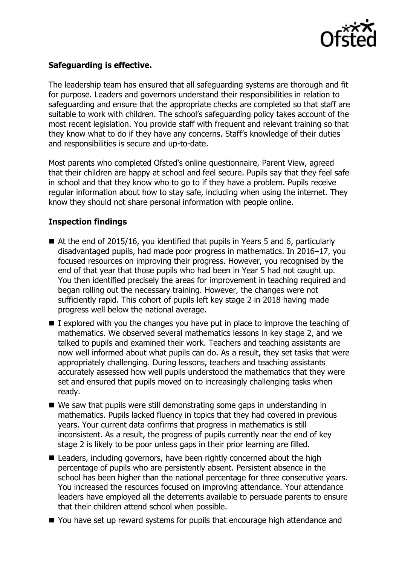

# **Safeguarding is effective.**

The leadership team has ensured that all safeguarding systems are thorough and fit for purpose. Leaders and governors understand their responsibilities in relation to safeguarding and ensure that the appropriate checks are completed so that staff are suitable to work with children. The school's safeguarding policy takes account of the most recent legislation. You provide staff with frequent and relevant training so that they know what to do if they have any concerns. Staff's knowledge of their duties and responsibilities is secure and up-to-date.

Most parents who completed Ofsted's online questionnaire, Parent View, agreed that their children are happy at school and feel secure. Pupils say that they feel safe in school and that they know who to go to if they have a problem. Pupils receive regular information about how to stay safe, including when using the internet. They know they should not share personal information with people online.

# **Inspection findings**

- At the end of 2015/16, you identified that pupils in Years 5 and 6, particularly disadvantaged pupils, had made poor progress in mathematics. In 2016–17, you focused resources on improving their progress. However, you recognised by the end of that year that those pupils who had been in Year 5 had not caught up. You then identified precisely the areas for improvement in teaching required and began rolling out the necessary training. However, the changes were not sufficiently rapid. This cohort of pupils left key stage 2 in 2018 having made progress well below the national average.
- $\blacksquare$  I explored with you the changes you have put in place to improve the teaching of mathematics. We observed several mathematics lessons in key stage 2, and we talked to pupils and examined their work. Teachers and teaching assistants are now well informed about what pupils can do. As a result, they set tasks that were appropriately challenging. During lessons, teachers and teaching assistants accurately assessed how well pupils understood the mathematics that they were set and ensured that pupils moved on to increasingly challenging tasks when ready.
- We saw that pupils were still demonstrating some gaps in understanding in mathematics. Pupils lacked fluency in topics that they had covered in previous years. Your current data confirms that progress in mathematics is still inconsistent. As a result, the progress of pupils currently near the end of key stage 2 is likely to be poor unless gaps in their prior learning are filled.
- Leaders, including governors, have been rightly concerned about the high percentage of pupils who are persistently absent. Persistent absence in the school has been higher than the national percentage for three consecutive years. You increased the resources focused on improving attendance. Your attendance leaders have employed all the deterrents available to persuade parents to ensure that their children attend school when possible.
- You have set up reward systems for pupils that encourage high attendance and